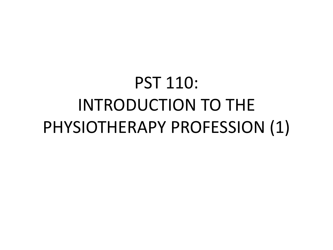### PST 110: INTRODUCTION TO THE PHYSIOTHERAPY PROFESSION (1)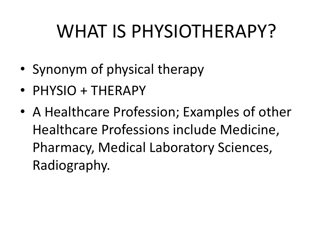### WHAT IS PHYSIOTHERAPY?

- Synonym of physical therapy
- PHYSIO + THERAPY
- A Healthcare Profession; Examples of other Healthcare Professions include Medicine, Pharmacy, Medical Laboratory Sciences, Radiography.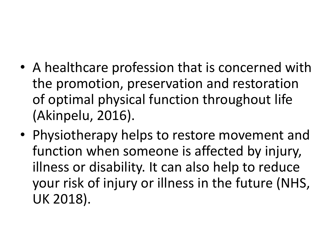- A healthcare profession that is concerned with the promotion, preservation and restoration of optimal physical function throughout life (Akinpelu, 2016).
- Physiotherapy helps to restore movement and function when someone is affected by injury, illness or disability. It can also help to reduce your risk of injury or illness in the future (NHS, UK 2018).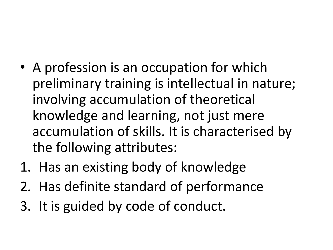- A profession is an occupation for which preliminary training is intellectual in nature; involving accumulation of theoretical knowledge and learning, not just mere accumulation of skills. It is characterised by the following attributes:
- 1. Has an existing body of knowledge
- 2. Has definite standard of performance
- 3. It is guided by code of conduct.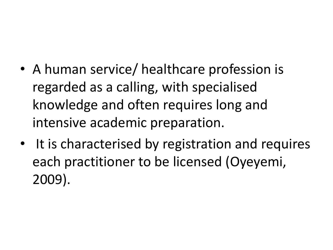- A human service/ healthcare profession is regarded as a calling, with specialised knowledge and often requires long and intensive academic preparation.
- It is characterised by registration and requires each practitioner to be licensed (Oyeyemi, 2009).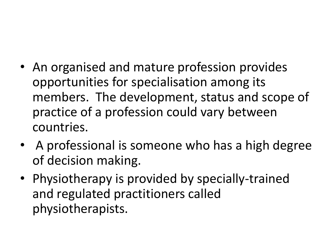- An organised and mature profession provides opportunities for specialisation among its members. The development, status and scope of practice of a profession could vary between countries.
- A professional is someone who has a high degree of decision making.
- Physiotherapy is provided by specially-trained and regulated practitioners called physiotherapists.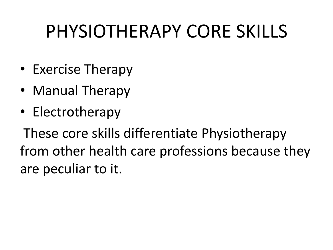#### PHYSIOTHERAPY CORE SKILLS

- Exercise Therapy
- Manual Therapy
- Electrotherapy

These core skills differentiate Physiotherapy from other health care professions because they are peculiar to it.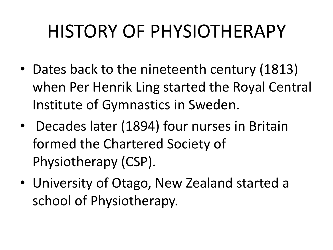### HISTORY OF PHYSIOTHERAPY

- Dates back to the nineteenth century (1813) when Per Henrik Ling started the Royal Central Institute of Gymnastics in Sweden.
- Decades later (1894) four nurses in Britain formed the Chartered Society of Physiotherapy (CSP).
- University of Otago, New Zealand started a school of Physiotherapy.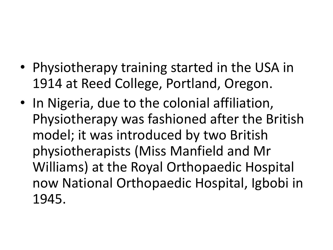- Physiotherapy training started in the USA in 1914 at Reed College, Portland, Oregon.
- In Nigeria, due to the colonial affiliation, Physiotherapy was fashioned after the British model; it was introduced by two British physiotherapists (Miss Manfield and Mr Williams) at the Royal Orthopaedic Hospital now National Orthopaedic Hospital, Igbobi in 1945.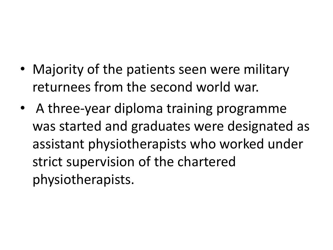- Majority of the patients seen were military returnees from the second world war.
- A three-year diploma training programme was started and graduates were designated as assistant physiotherapists who worked under strict supervision of the chartered physiotherapists.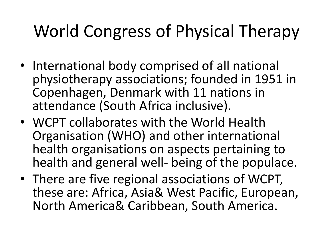#### World Congress of Physical Therapy

- International body comprised of all national physiotherapy associations; founded in 1951 in Copenhagen, Denmark with 11 nations in attendance (South Africa inclusive).
- WCPT collaborates with the World Health Organisation (WHO) and other international health organisations on aspects pertaining to health and general well- being of the populace.
- There are five regional associations of WCPT, these are: Africa, Asia& West Pacific, European, North America& Caribbean, South America.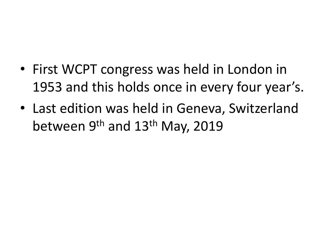- First WCPT congress was held in London in 1953 and this holds once in every four year's.
- Last edition was held in Geneva, Switzerland between 9<sup>th</sup> and 13<sup>th</sup> May, 2019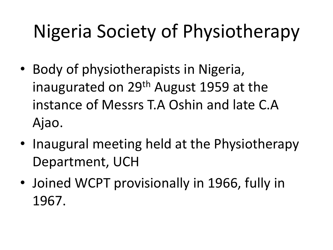# Nigeria Society of Physiotherapy

- Body of physiotherapists in Nigeria, inaugurated on  $29<sup>th</sup>$  August 1959 at the instance of Messrs T.A Oshin and late C.A Ajao.
- Inaugural meeting held at the Physiotherapy Department, UCH
- Joined WCPT provisionally in 1966, fully in 1967.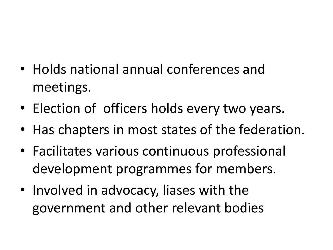- Holds national annual conferences and meetings.
- Election of officers holds every two years.
- Has chapters in most states of the federation.
- Facilitates various continuous professional development programmes for members.
- Involved in advocacy, liases with the government and other relevant bodies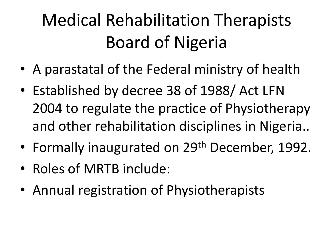#### Medical Rehabilitation Therapists Board of Nigeria

- A parastatal of the Federal ministry of health
- Established by decree 38 of 1988/ Act LFN 2004 to regulate the practice of Physiotherapy and other rehabilitation disciplines in Nigeria..
- Formally inaugurated on 29<sup>th</sup> December, 1992.
- Roles of MRTB include:
- Annual registration of Physiotherapists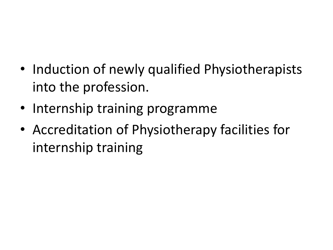- Induction of newly qualified Physiotherapists into the profession.
- Internship training programme
- Accreditation of Physiotherapy facilities for internship training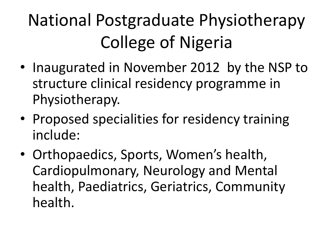### National Postgraduate Physiotherapy College of Nigeria

- Inaugurated in November 2012 by the NSP to structure clinical residency programme in Physiotherapy.
- Proposed specialities for residency training include:
- Orthopaedics, Sports, Women's health, Cardiopulmonary, Neurology and Mental health, Paediatrics, Geriatrics, Community health.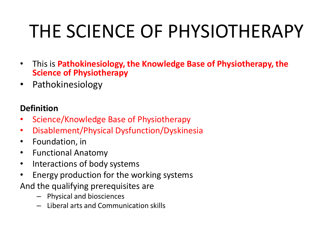## THE SCIENCE OF PHYSIOTHERAPY

- This is **Pathokinesiology, the Knowledge Base of Physiotherapy, the Science of Physiotherapy**
- Pathokinesiology

#### **Definition**

- Science/Knowledge Base of Physiotherapy
- Disablement/Physical Dysfunction/Dyskinesia
- Foundation, in
- Functional Anatomy
- Interactions of body systems
- Energy production for the working systems
- And the qualifying prerequisites are
	- Physical and biosciences
	- Liberal arts and Communication skills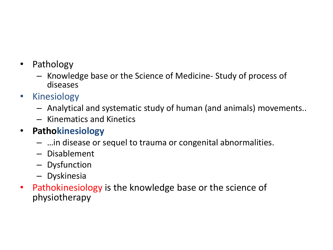- Pathology
	- Knowledge base or the Science of Medicine- Study of process of diseases
- Kinesiology
	- Analytical and systematic study of human (and animals) movements..
	- Kinematics and Kinetics

#### • **Pathokinesiology**

- …in disease or sequel to trauma or congenital abnormalities.
- Disablement
- Dysfunction
- Dyskinesia
- Pathokinesiology is the knowledge base or the science of physiotherapy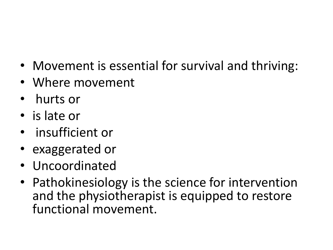- Movement is essential for survival and thriving:
- Where movement
- hurts or
- is late or
- insufficient or
- exaggerated or
- Uncoordinated
- Pathokinesiology is the science for intervention and the physiotherapist is equipped to restore functional movement.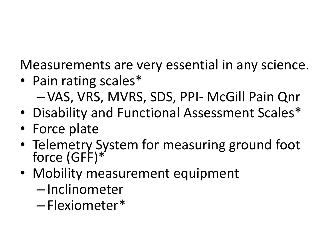Measurements are very essential in any science.

- Pain rating scales\* – VAS, VRS, MVRS, SDS, PPI- McGill Pain Qnr
- Disability and Functional Assessment Scales\*
- Force plate
- Telemetry System for measuring ground foot force (GFF)\*
- Mobility measurement equipment
	- Inclinometer
	- Flexiometer\*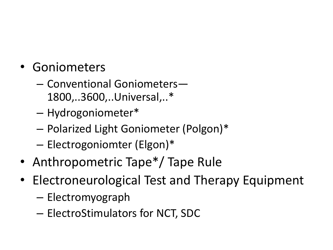- Goniometers
	- Conventional Goniometers— 1800,..3600,..Universal,..\*
	- Hydrogoniometer\*
	- Polarized Light Goniometer (Polgon)\*
	- Electrogoniomter (Elgon)\*
- Anthropometric Tape<sup>\*</sup>/ Tape Rule
- Electroneurological Test and Therapy Equipment
	- Electromyograph
	- ElectroStimulators for NCT, SDC